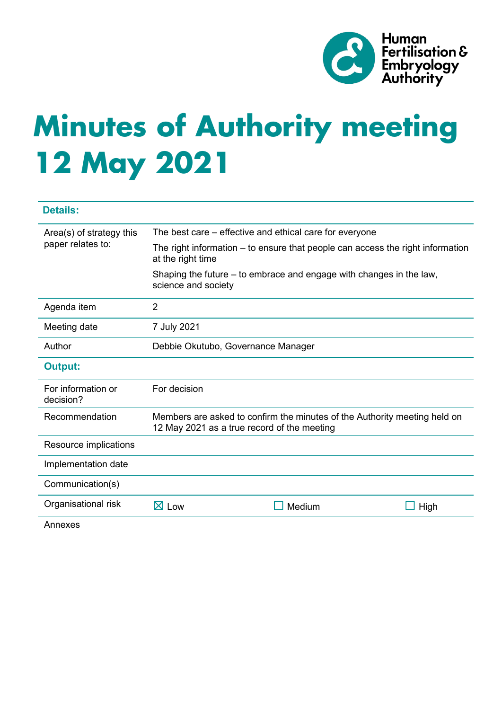

# **Minutes of Authority meeting 12 May 2021**

| <b>Details:</b>                               |                                                                                                                          |        |      |
|-----------------------------------------------|--------------------------------------------------------------------------------------------------------------------------|--------|------|
| Area(s) of strategy this<br>paper relates to: | The best care – effective and ethical care for everyone                                                                  |        |      |
|                                               | The right information – to ensure that people can access the right information<br>at the right time                      |        |      |
|                                               | Shaping the future – to embrace and engage with changes in the law,<br>science and society                               |        |      |
| Agenda item                                   | $\overline{2}$                                                                                                           |        |      |
| Meeting date                                  | 7 July 2021                                                                                                              |        |      |
| Author                                        | Debbie Okutubo, Governance Manager                                                                                       |        |      |
| <b>Output:</b>                                |                                                                                                                          |        |      |
| For information or<br>decision?               | For decision                                                                                                             |        |      |
| Recommendation                                | Members are asked to confirm the minutes of the Authority meeting held on<br>12 May 2021 as a true record of the meeting |        |      |
| Resource implications                         |                                                                                                                          |        |      |
| Implementation date                           |                                                                                                                          |        |      |
| Communication(s)                              |                                                                                                                          |        |      |
| Organisational risk                           | $\boxtimes$ Low                                                                                                          | Medium | High |
| Annexes                                       |                                                                                                                          |        |      |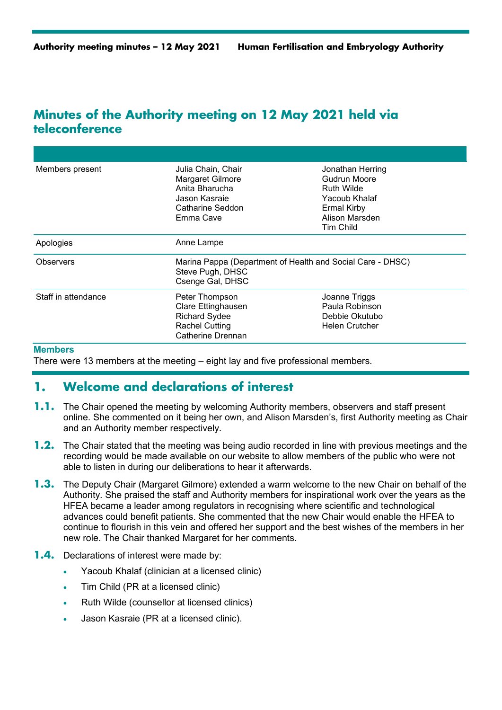# **Minutes of the Authority meeting on 12 May 2021 held via teleconference**

| Members present     | Julia Chain, Chair<br>Margaret Gilmore<br>Anita Bharucha<br>Jason Kasraie<br>Catharine Seddon<br>Emma Cave | Jonathan Herring<br>Gudrun Moore<br><b>Ruth Wilde</b><br>Yacoub Khalaf<br><b>Ermal Kirby</b><br>Alison Marsden<br>Tim Child |  |
|---------------------|------------------------------------------------------------------------------------------------------------|-----------------------------------------------------------------------------------------------------------------------------|--|
| Apologies           | Anne Lampe                                                                                                 |                                                                                                                             |  |
| Observers           | Marina Pappa (Department of Health and Social Care - DHSC)<br>Steve Pugh, DHSC<br>Csenge Gal, DHSC         |                                                                                                                             |  |
| Staff in attendance | Peter Thompson<br>Clare Ettinghausen<br><b>Richard Sydee</b><br><b>Rachel Cutting</b><br>Catherine Drennan | Joanne Triggs<br>Paula Robinson<br>Debbie Okutubo<br><b>Helen Crutcher</b>                                                  |  |

#### **Members**

There were 13 members at the meeting – eight lay and five professional members.

## **1. Welcome and declarations of interest**

- **1.1.** The Chair opened the meeting by welcoming Authority members, observers and staff present online. She commented on it being her own, and Alison Marsden's, first Authority meeting as Chair and an Authority member respectively.
- **1.2.** The Chair stated that the meeting was being audio recorded in line with previous meetings and the recording would be made available on our website to allow members of the public who were not able to listen in during our deliberations to hear it afterwards.
- **1.3.** The Deputy Chair (Margaret Gilmore) extended a warm welcome to the new Chair on behalf of the Authority. She praised the staff and Authority members for inspirational work over the years as the HFEA became a leader among regulators in recognising where scientific and technological advances could benefit patients. She commented that the new Chair would enable the HFEA to continue to flourish in this vein and offered her support and the best wishes of the members in her new role. The Chair thanked Margaret for her comments.
- **1.4.** Declarations of interest were made by:
	- Yacoub Khalaf (clinician at a licensed clinic)
	- Tim Child (PR at a licensed clinic)
	- Ruth Wilde (counsellor at licensed clinics)
	- Jason Kasraie (PR at a licensed clinic).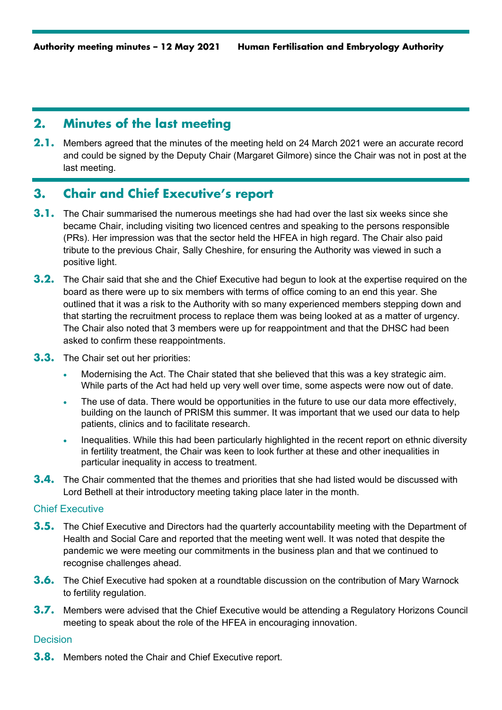# **2. Minutes of the last meeting**

**2.1.** Members agreed that the minutes of the meeting held on 24 March 2021 were an accurate record and could be signed by the Deputy Chair (Margaret Gilmore) since the Chair was not in post at the last meeting.

# **3. Chair and Chief Executive's report**

- **3.1.** The Chair summarised the numerous meetings she had had over the last six weeks since she became Chair, including visiting two licenced centres and speaking to the persons responsible (PRs). Her impression was that the sector held the HFEA in high regard. The Chair also paid tribute to the previous Chair, Sally Cheshire, for ensuring the Authority was viewed in such a positive light.
- **3.2.** The Chair said that she and the Chief Executive had begun to look at the expertise required on the board as there were up to six members with terms of office coming to an end this year. She outlined that it was a risk to the Authority with so many experienced members stepping down and that starting the recruitment process to replace them was being looked at as a matter of urgency. The Chair also noted that 3 members were up for reappointment and that the DHSC had been asked to confirm these reappointments.
- **3.3.** The Chair set out her priorities:
	- Modernising the Act. The Chair stated that she believed that this was a key strategic aim. While parts of the Act had held up very well over time, some aspects were now out of date.
	- The use of data. There would be opportunities in the future to use our data more effectively, building on the launch of PRISM this summer. It was important that we used our data to help patients, clinics and to facilitate research.
	- Inequalities. While this had been particularly highlighted in the recent report on ethnic diversity in fertility treatment, the Chair was keen to look further at these and other inequalities in particular inequality in access to treatment.
- **3.4.** The Chair commented that the themes and priorities that she had listed would be discussed with Lord Bethell at their introductory meeting taking place later in the month.

## Chief Executive

- **3.5.** The Chief Executive and Directors had the quarterly accountability meeting with the Department of Health and Social Care and reported that the meeting went well. It was noted that despite the pandemic we were meeting our commitments in the business plan and that we continued to recognise challenges ahead.
- **3.6.** The Chief Executive had spoken at a roundtable discussion on the contribution of Mary Warnock to fertility regulation.
- **3.7.** Members were advised that the Chief Executive would be attending a Regulatory Horizons Council meeting to speak about the role of the HFEA in encouraging innovation.

#### **Decision**

**3.8.** Members noted the Chair and Chief Executive report.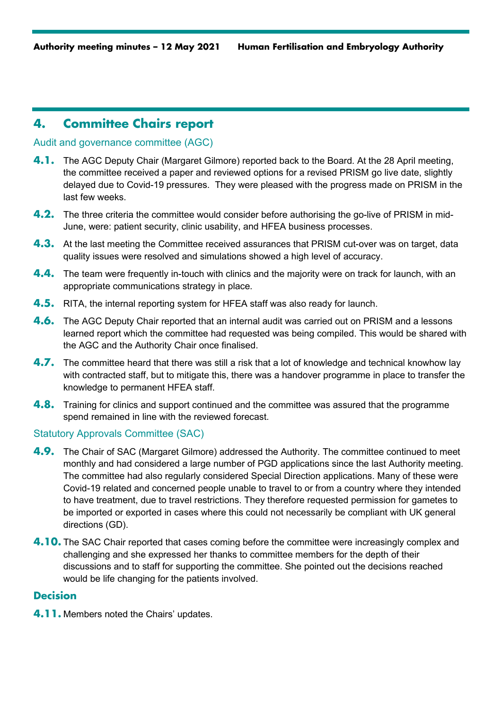# **4. Committee Chairs report**

## Audit and governance committee (AGC)

- **4.1.** The AGC Deputy Chair (Margaret Gilmore) reported back to the Board. At the 28 April meeting, the committee received a paper and reviewed options for a revised PRISM go live date, slightly delayed due to Covid-19 pressures. They were pleased with the progress made on PRISM in the last few weeks.
- **4.2.** The three criteria the committee would consider before authorising the go-live of PRISM in mid-June, were: patient security, clinic usability, and HFEA business processes.
- **4.3.** At the last meeting the Committee received assurances that PRISM cut-over was on target, data quality issues were resolved and simulations showed a high level of accuracy.
- **4.4.** The team were frequently in-touch with clinics and the majority were on track for launch, with an appropriate communications strategy in place.
- **4.5.** RITA, the internal reporting system for HFEA staff was also ready for launch.
- **4.6.** The AGC Deputy Chair reported that an internal audit was carried out on PRISM and a lessons learned report which the committee had requested was being compiled. This would be shared with the AGC and the Authority Chair once finalised.
- **4.7.** The committee heard that there was still a risk that a lot of knowledge and technical knowhow lay with contracted staff, but to mitigate this, there was a handover programme in place to transfer the knowledge to permanent HFEA staff.
- **4.8.** Training for clinics and support continued and the committee was assured that the programme spend remained in line with the reviewed forecast.

#### Statutory Approvals Committee (SAC)

- **4.9.** The Chair of SAC (Margaret Gilmore) addressed the Authority. The committee continued to meet monthly and had considered a large number of PGD applications since the last Authority meeting. The committee had also regularly considered Special Direction applications. Many of these were Covid-19 related and concerned people unable to travel to or from a country where they intended to have treatment, due to travel restrictions. They therefore requested permission for gametes to be imported or exported in cases where this could not necessarily be compliant with UK general directions (GD).
- **4.10.** The SAC Chair reported that cases coming before the committee were increasingly complex and challenging and she expressed her thanks to committee members for the depth of their discussions and to staff for supporting the committee. She pointed out the decisions reached would be life changing for the patients involved.

## **Decision**

**4.11.** Members noted the Chairs' updates.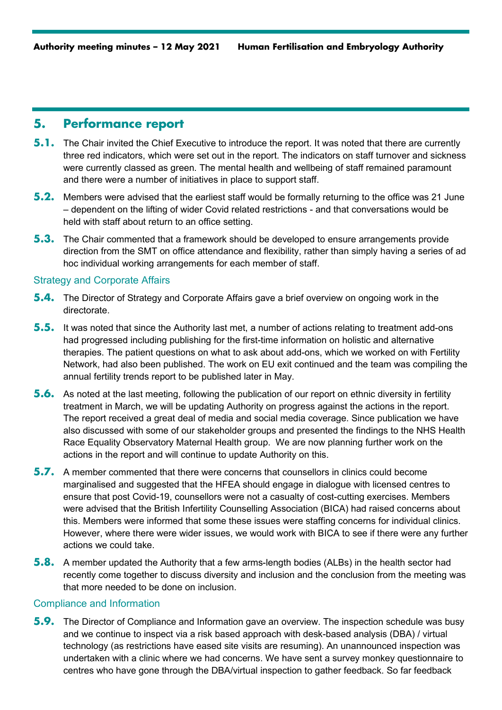## **5. Performance report**

- **5.1.** The Chair invited the Chief Executive to introduce the report. It was noted that there are currently three red indicators, which were set out in the report. The indicators on staff turnover and sickness were currently classed as green. The mental health and wellbeing of staff remained paramount and there were a number of initiatives in place to support staff.
- **5.2.** Members were advised that the earliest staff would be formally returning to the office was 21 June – dependent on the lifting of wider Covid related restrictions - and that conversations would be held with staff about return to an office setting.
- **5.3.** The Chair commented that a framework should be developed to ensure arrangements provide direction from the SMT on office attendance and flexibility, rather than simply having a series of ad hoc individual working arrangements for each member of staff.

#### Strategy and Corporate Affairs

- **5.4.** The Director of Strategy and Corporate Affairs gave a brief overview on ongoing work in the directorate.
- **5.5.** It was noted that since the Authority last met, a number of actions relating to treatment add-ons had progressed including publishing for the first-time information on holistic and alternative therapies. The patient questions on what to ask about add-ons, which we worked on with Fertility Network, had also been published. The work on EU exit continued and the team was compiling the annual fertility trends report to be published later in May.
- **5.6.** As noted at the last meeting, following the publication of our report on ethnic diversity in fertility treatment in March, we will be updating Authority on progress against the actions in the report. The report received a great deal of media and social media coverage. Since publication we have also discussed with some of our stakeholder groups and presented the findings to the NHS Health Race Equality Observatory Maternal Health group. We are now planning further work on the actions in the report and will continue to update Authority on this.
- **5.7.** A member commented that there were concerns that counsellors in clinics could become marginalised and suggested that the HFEA should engage in dialogue with licensed centres to ensure that post Covid-19, counsellors were not a casualty of cost-cutting exercises. Members were advised that the British Infertility Counselling Association (BICA) had raised concerns about this. Members were informed that some these issues were staffing concerns for individual clinics. However, where there were wider issues, we would work with BICA to see if there were any further actions we could take.
- **5.8.** A member updated the Authority that a few arms-length bodies (ALBs) in the health sector had recently come together to discuss diversity and inclusion and the conclusion from the meeting was that more needed to be done on inclusion.

## Compliance and Information

**5.9.** The Director of Compliance and Information gave an overview. The inspection schedule was busy and we continue to inspect via a risk based approach with desk-based analysis (DBA) / virtual technology (as restrictions have eased site visits are resuming). An unannounced inspection was undertaken with a clinic where we had concerns. We have sent a survey monkey questionnaire to centres who have gone through the DBA/virtual inspection to gather feedback. So far feedback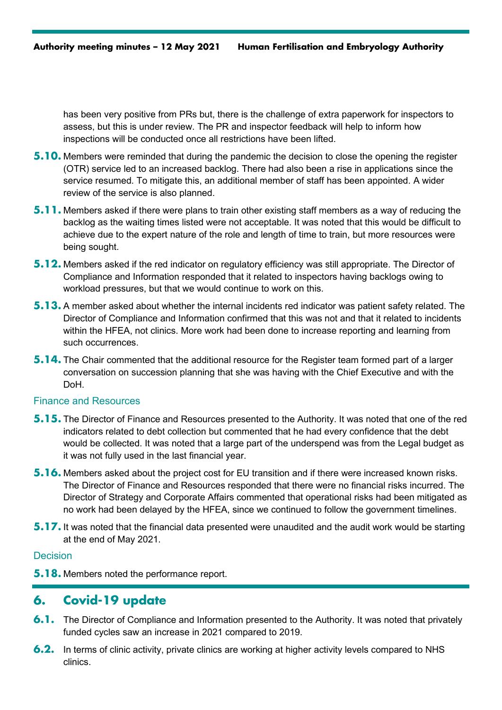has been very positive from PRs but, there is the challenge of extra paperwork for inspectors to assess, but this is under review. The PR and inspector feedback will help to inform how inspections will be conducted once all restrictions have been lifted.

- **5.10.** Members were reminded that during the pandemic the decision to close the opening the register (OTR) service led to an increased backlog. There had also been a rise in applications since the service resumed. To mitigate this, an additional member of staff has been appointed. A wider review of the service is also planned.
- **5.11.** Members asked if there were plans to train other existing staff members as a way of reducing the backlog as the waiting times listed were not acceptable. It was noted that this would be difficult to achieve due to the expert nature of the role and length of time to train, but more resources were being sought.
- **5.12.** Members asked if the red indicator on regulatory efficiency was still appropriate. The Director of Compliance and Information responded that it related to inspectors having backlogs owing to workload pressures, but that we would continue to work on this.
- **5.13.** A member asked about whether the internal incidents red indicator was patient safety related. The Director of Compliance and Information confirmed that this was not and that it related to incidents within the HFEA, not clinics. More work had been done to increase reporting and learning from such occurrences.
- **5.14.** The Chair commented that the additional resource for the Register team formed part of a larger conversation on succession planning that she was having with the Chief Executive and with the DoH.

### Finance and Resources

- **5.15.** The Director of Finance and Resources presented to the Authority. It was noted that one of the red indicators related to debt collection but commented that he had every confidence that the debt would be collected. It was noted that a large part of the underspend was from the Legal budget as it was not fully used in the last financial year.
- **5.16.** Members asked about the project cost for EU transition and if there were increased known risks. The Director of Finance and Resources responded that there were no financial risks incurred. The Director of Strategy and Corporate Affairs commented that operational risks had been mitigated as no work had been delayed by the HFEA, since we continued to follow the government timelines.
- **5.17.** It was noted that the financial data presented were unaudited and the audit work would be starting at the end of May 2021.

#### **Decision**

**5.18.** Members noted the performance report.

# **6. Covid-19 update**

- **6.1.** The Director of Compliance and Information presented to the Authority. It was noted that privately funded cycles saw an increase in 2021 compared to 2019.
- **6.2.** In terms of clinic activity, private clinics are working at higher activity levels compared to NHS clinics.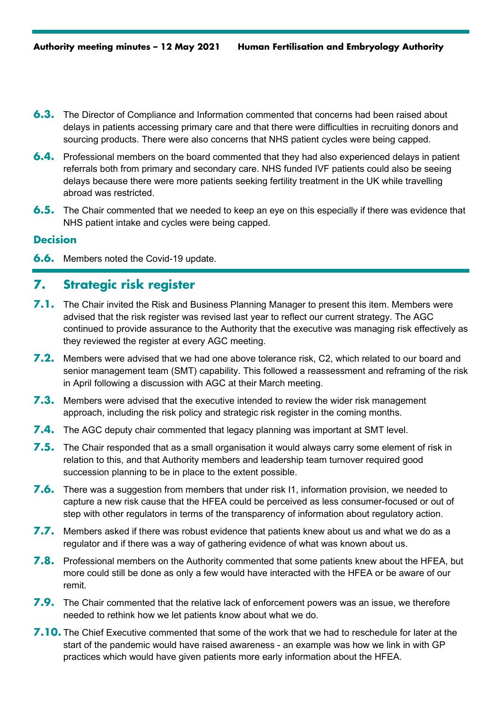- **6.3.** The Director of Compliance and Information commented that concerns had been raised about delays in patients accessing primary care and that there were difficulties in recruiting donors and sourcing products. There were also concerns that NHS patient cycles were being capped.
- **6.4.** Professional members on the board commented that they had also experienced delays in patient referrals both from primary and secondary care. NHS funded IVF patients could also be seeing delays because there were more patients seeking fertility treatment in the UK while travelling abroad was restricted.
- **6.5.** The Chair commented that we needed to keep an eye on this especially if there was evidence that NHS patient intake and cycles were being capped.

## **Decision**

**6.6.** Members noted the Covid-19 update.

## **7. Strategic risk register**

- **7.1.** The Chair invited the Risk and Business Planning Manager to present this item. Members were advised that the risk register was revised last year to reflect our current strategy. The AGC continued to provide assurance to the Authority that the executive was managing risk effectively as they reviewed the register at every AGC meeting.
- **7.2.** Members were advised that we had one above tolerance risk, C2, which related to our board and senior management team (SMT) capability. This followed a reassessment and reframing of the risk in April following a discussion with AGC at their March meeting.
- **7.3.** Members were advised that the executive intended to review the wider risk management approach, including the risk policy and strategic risk register in the coming months.
- **7.4.** The AGC deputy chair commented that legacy planning was important at SMT level.
- **7.5.** The Chair responded that as a small organisation it would always carry some element of risk in relation to this, and that Authority members and leadership team turnover required good succession planning to be in place to the extent possible.
- **7.6.** There was a suggestion from members that under risk I1, information provision, we needed to capture a new risk cause that the HFEA could be perceived as less consumer-focused or out of step with other regulators in terms of the transparency of information about regulatory action.
- **7.7.** Members asked if there was robust evidence that patients knew about us and what we do as a regulator and if there was a way of gathering evidence of what was known about us.
- **7.8.** Professional members on the Authority commented that some patients knew about the HFEA, but more could still be done as only a few would have interacted with the HFEA or be aware of our remit.
- **7.9.** The Chair commented that the relative lack of enforcement powers was an issue, we therefore needed to rethink how we let patients know about what we do.
- **7.10.** The Chief Executive commented that some of the work that we had to reschedule for later at the start of the pandemic would have raised awareness - an example was how we link in with GP practices which would have given patients more early information about the HFEA.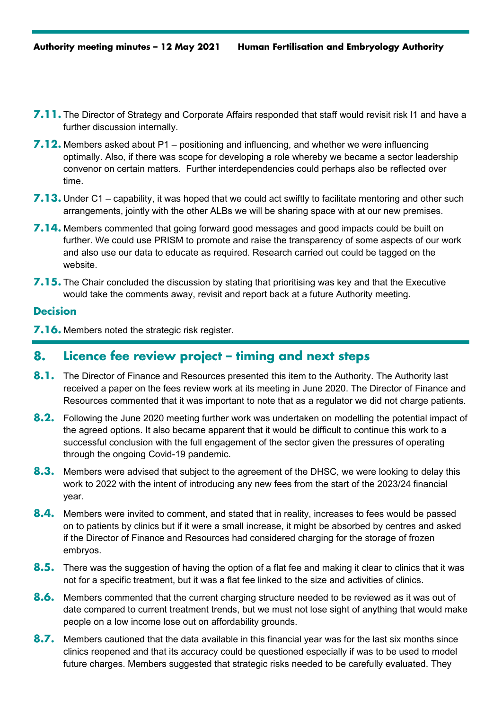- **7.11.** The Director of Strategy and Corporate Affairs responded that staff would revisit risk I1 and have a further discussion internally.
- **7.12.** Members asked about P1 positioning and influencing, and whether we were influencing optimally. Also, if there was scope for developing a role whereby we became a sector leadership convenor on certain matters. Further interdependencies could perhaps also be reflected over time.
- **7.13.** Under C1 capability, it was hoped that we could act swiftly to facilitate mentoring and other such arrangements, jointly with the other ALBs we will be sharing space with at our new premises.
- **7.14.** Members commented that going forward good messages and good impacts could be built on further. We could use PRISM to promote and raise the transparency of some aspects of our work and also use our data to educate as required. Research carried out could be tagged on the website.
- **7.15.** The Chair concluded the discussion by stating that prioritising was key and that the Executive would take the comments away, revisit and report back at a future Authority meeting.

## **Decision**

**7.16.** Members noted the strategic risk register.

## **8. Licence fee review project – timing and next steps**

- 8.1. The Director of Finance and Resources presented this item to the Authority. The Authority last received a paper on the fees review work at its meeting in June 2020. The Director of Finance and Resources commented that it was important to note that as a regulator we did not charge patients.
- **8.2.** Following the June 2020 meeting further work was undertaken on modelling the potential impact of the agreed options. It also became apparent that it would be difficult to continue this work to a successful conclusion with the full engagement of the sector given the pressures of operating through the ongoing Covid-19 pandemic.
- **8.3.** Members were advised that subject to the agreement of the DHSC, we were looking to delay this work to 2022 with the intent of introducing any new fees from the start of the 2023/24 financial year.
- **8.4.** Members were invited to comment, and stated that in reality, increases to fees would be passed on to patients by clinics but if it were a small increase, it might be absorbed by centres and asked if the Director of Finance and Resources had considered charging for the storage of frozen embryos.
- **8.5.** There was the suggestion of having the option of a flat fee and making it clear to clinics that it was not for a specific treatment, but it was a flat fee linked to the size and activities of clinics.
- **8.6.** Members commented that the current charging structure needed to be reviewed as it was out of date compared to current treatment trends, but we must not lose sight of anything that would make people on a low income lose out on affordability grounds.
- **8.7.** Members cautioned that the data available in this financial year was for the last six months since clinics reopened and that its accuracy could be questioned especially if was to be used to model future charges. Members suggested that strategic risks needed to be carefully evaluated. They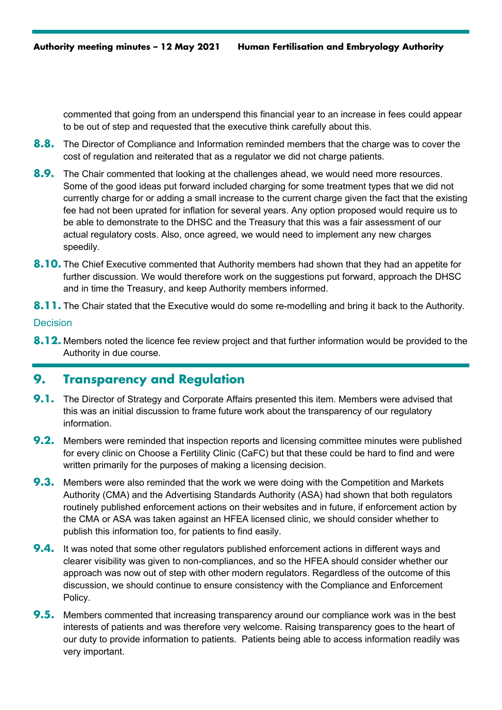commented that going from an underspend this financial year to an increase in fees could appear to be out of step and requested that the executive think carefully about this.

- **8.8.** The Director of Compliance and Information reminded members that the charge was to cover the cost of regulation and reiterated that as a regulator we did not charge patients.
- **8.9.** The Chair commented that looking at the challenges ahead, we would need more resources. Some of the good ideas put forward included charging for some treatment types that we did not currently charge for or adding a small increase to the current charge given the fact that the existing fee had not been uprated for inflation for several years. Any option proposed would require us to be able to demonstrate to the DHSC and the Treasury that this was a fair assessment of our actual regulatory costs. Also, once agreed, we would need to implement any new charges speedily.
- **8.10.** The Chief Executive commented that Authority members had shown that they had an appetite for further discussion. We would therefore work on the suggestions put forward, approach the DHSC and in time the Treasury, and keep Authority members informed.
- **8.11.** The Chair stated that the Executive would do some re-modelling and bring it back to the Authority.

## **Decision**

**8.12.** Members noted the licence fee review project and that further information would be provided to the Authority in due course.

# **9. Transparency and Regulation**

- **9.1.** The Director of Strategy and Corporate Affairs presented this item. Members were advised that this was an initial discussion to frame future work about the transparency of our regulatory information.
- **9.2.** Members were reminded that inspection reports and licensing committee minutes were published for every clinic on Choose a Fertility Clinic (CaFC) but that these could be hard to find and were written primarily for the purposes of making a licensing decision.
- **9.3.** Members were also reminded that the work we were doing with the Competition and Markets Authority (CMA) and the Advertising Standards Authority (ASA) had shown that both regulators routinely published enforcement actions on their websites and in future, if enforcement action by the CMA or ASA was taken against an HFEA licensed clinic, we should consider whether to publish this information too, for patients to find easily.
- **9.4.** It was noted that some other regulators published enforcement actions in different ways and clearer visibility was given to non-compliances, and so the HFEA should consider whether our approach was now out of step with other modern regulators. Regardless of the outcome of this discussion, we should continue to ensure consistency with the Compliance and Enforcement Policy.
- **9.5.** Members commented that increasing transparency around our compliance work was in the best interests of patients and was therefore very welcome. Raising transparency goes to the heart of our duty to provide information to patients. Patients being able to access information readily was very important.